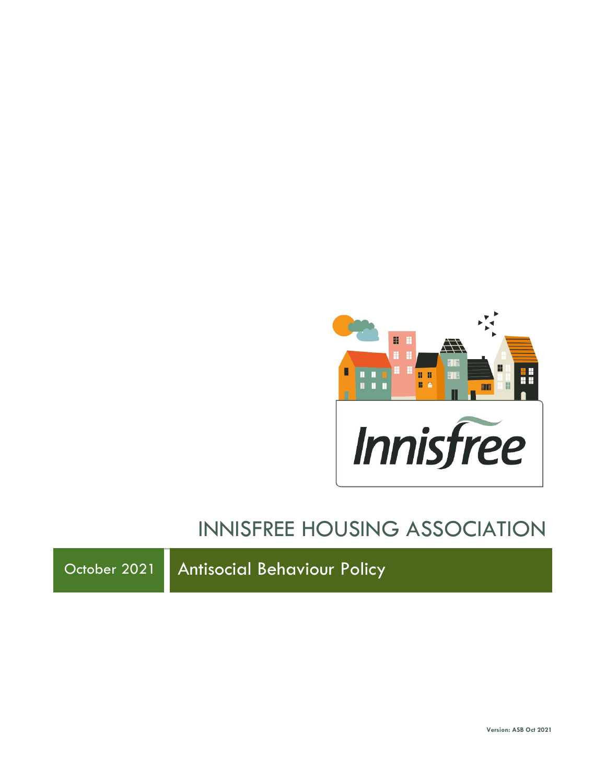

# INNISFREE HOUSING ASSOCIATION

October 2021 | Antisocial Behaviour Policy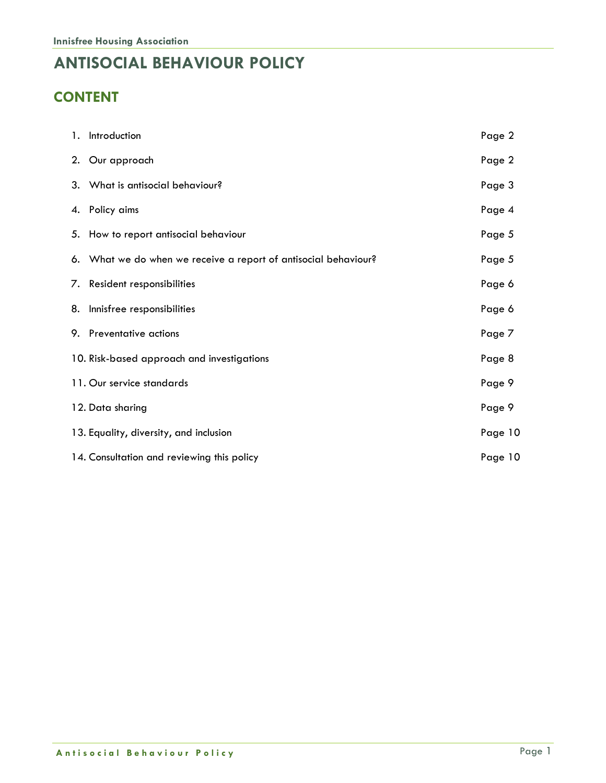### **ANTISOCIAL BEHAVIOUR POLICY**

### **CONTENT**

| 1. Introduction                                                 | Page 2  |
|-----------------------------------------------------------------|---------|
| 2. Our approach                                                 | Page 2  |
| 3. What is antisocial behaviour?                                | Page 3  |
| 4. Policy aims                                                  | Page 4  |
| 5. How to report antisocial behaviour                           | Page 5  |
| 6. What we do when we receive a report of antisocial behaviour? | Page 5  |
| 7. Resident responsibilities                                    | Page 6  |
| 8. Innisfree responsibilities                                   | Page 6  |
| 9. Preventative actions                                         | Page 7  |
| 10. Risk-based approach and investigations                      | Page 8  |
| 11. Our service standards                                       | Page 9  |
| 12. Data sharing                                                | Page 9  |
| 13. Equality, diversity, and inclusion                          | Page 10 |
| 14. Consultation and reviewing this policy                      | Page 10 |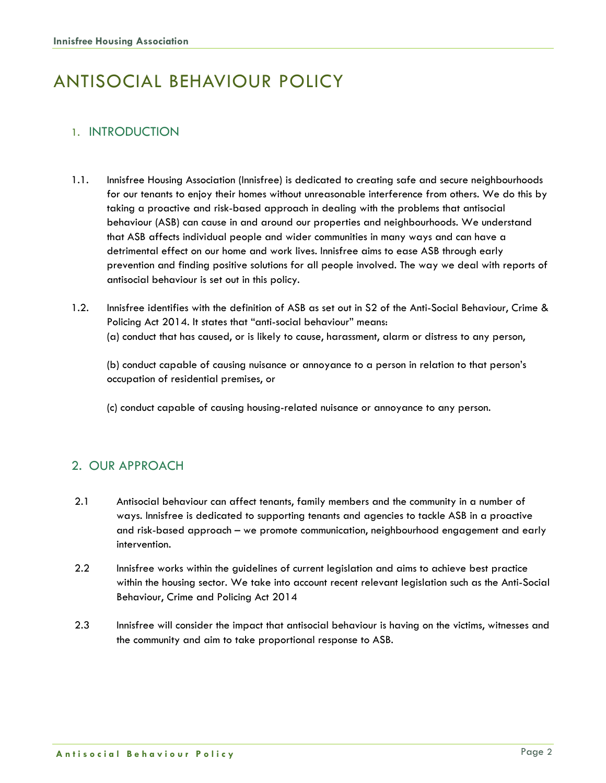## ANTISOCIAL BEHAVIOUR POLICY

### 1. INTRODUCTION

- 1.1. Innisfree Housing Association (Innisfree) is dedicated to creating safe and secure neighbourhoods for our tenants to enjoy their homes without unreasonable interference from others. We do this by taking a proactive and risk-based approach in dealing with the problems that antisocial behaviour (ASB) can cause in and around our properties and neighbourhoods. We understand that ASB affects individual people and wider communities in many ways and can have a detrimental effect on our home and work lives. Innisfree aims to ease ASB through early prevention and finding positive solutions for all people involved. The way we deal with reports of antisocial behaviour is set out in this policy.
- 1.2. Innisfree identifies with the definition of ASB as set out in S2 of the Anti-Social Behaviour, Crime & Policing Act 2014. It states that "anti-social behaviour" means: (a) conduct that has caused, or is likely to cause, harassment, alarm or distress to any person,

(b) conduct capable of causing nuisance or annoyance to a person in relation to that person's occupation of residential premises, or

(c) conduct capable of causing housing-related nuisance or annoyance to any person.

#### 2. OUR APPROACH

- 2.1 Antisocial behaviour can affect tenants, family members and the community in a number of ways. Innisfree is dedicated to supporting tenants and agencies to tackle ASB in a proactive and risk-based approach – we promote communication, neighbourhood engagement and early intervention.
- 2.2 Innisfree works within the guidelines of current legislation and aims to achieve best practice within the housing sector. We take into account recent relevant legislation such as the Anti-Social Behaviour, Crime and Policing Act 2014
- 2.3 Innisfree will consider the impact that antisocial behaviour is having on the victims, witnesses and the community and aim to take proportional response to ASB.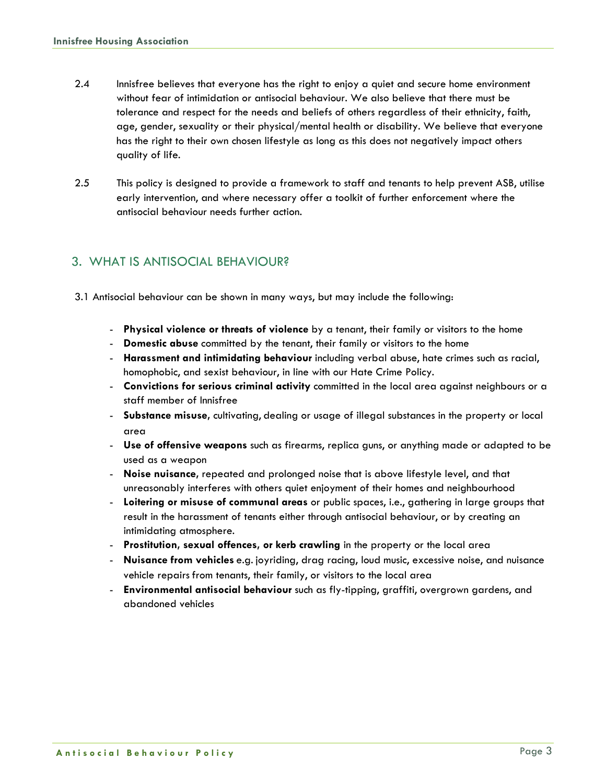- 2.4 Innisfree believes that everyone has the right to enjoy a quiet and secure home environment without fear of intimidation or antisocial behaviour. We also believe that there must be tolerance and respect for the needs and beliefs of others regardless of their ethnicity, faith, age, gender, sexuality or their physical/mental health or disability. We believe that everyone has the right to their own chosen lifestyle as long as this does not negatively impact others quality of life.
- 2.5 This policy is designed to provide a framework to staff and tenants to help prevent ASB, utilise early intervention, and where necessary offer a toolkit of further enforcement where the antisocial behaviour needs further action.

#### 3. WHAT IS ANTISOCIAL BEHAVIOUR?

- 3.1 Antisocial behaviour can be shown in many ways, but may include the following:
	- **Physical violence or threats of violence** by a tenant, their family or visitors to the home
	- **Domestic abuse** committed by the tenant, their family or visitors to the home
	- **Harassment and intimidating behaviour** including verbal abuse, hate crimes such as racial, homophobic, and sexist behaviour, in line with our Hate Crime Policy.
	- **Convictions for serious criminal activity** committed in the local area against neighbours or a staff member of Innisfree
	- **Substance misuse,** cultivating, dealing or usage of illegal substances in the property or local area
	- **Use of offensive weapons** such as firearms, replica guns, or anything made or adapted to be used as a weapon
	- **Noise nuisance,** repeated and prolonged noise that is above lifestyle level, and that unreasonably interferes with others quiet enjoyment of their homes and neighbourhood
	- **Loitering or misuse of communal areas** or public spaces, i.e., gathering in large groups that result in the harassment of tenants either through antisocial behaviour, or by creating an intimidating atmosphere.
	- **Prostitution, sexual offences, or kerb crawling** in the property or the local area
	- **Nuisance from vehicles** e.g. joyriding, drag racing, loud music, excessive noise, and nuisance vehicle repairs from tenants, their family, or visitors to the local area
	- **Environmental antisocial behaviour** such as fly-tipping, graffiti, overgrown gardens, and abandoned vehicles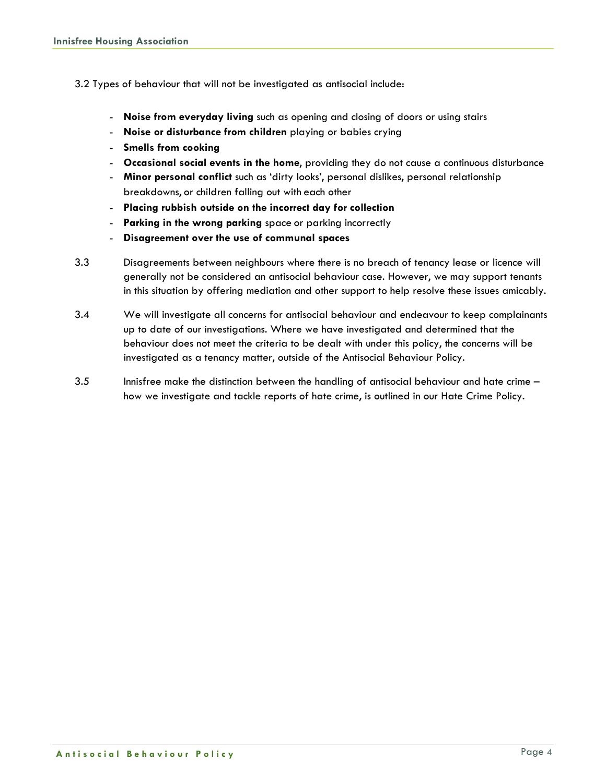- 3.2 Types of behaviour that will not be investigated as antisocial include:
	- **Noise from everyday living** such as opening and closing of doors or using stairs
	- **Noise or disturbance from children** playing or babies crying
	- **Smells from cooking**
	- **Occasional social events in the home**, providing they do not cause a continuous disturbance
	- **Minor personal conflict** such as 'dirty looks', personal dislikes, personal relationship breakdowns, or children falling out with each other
	- **Placing rubbish outside on the incorrect day for collection**
	- **Parking in the wrong parking** space or parking incorrectly
	- **Disagreement over the use of communal spaces**
- 3.3 Disagreements between neighbours where there is no breach of tenancy lease or licence will generally not be considered an antisocial behaviour case. However, we may support tenants in this situation by offering mediation and other support to help resolve these issues amicably.
- 3.4 We will investigate all concerns for antisocial behaviour and endeavour to keep complainants up to date of our investigations. Where we have investigated and determined that the behaviour does not meet the criteria to be dealt with under this policy, the concerns will be investigated as a tenancy matter, outside of the Antisocial Behaviour Policy.
- 3.5 Innisfree make the distinction between the handling of antisocial behaviour and hate crime how we investigate and tackle reports of hate crime, is outlined in our Hate Crime Policy.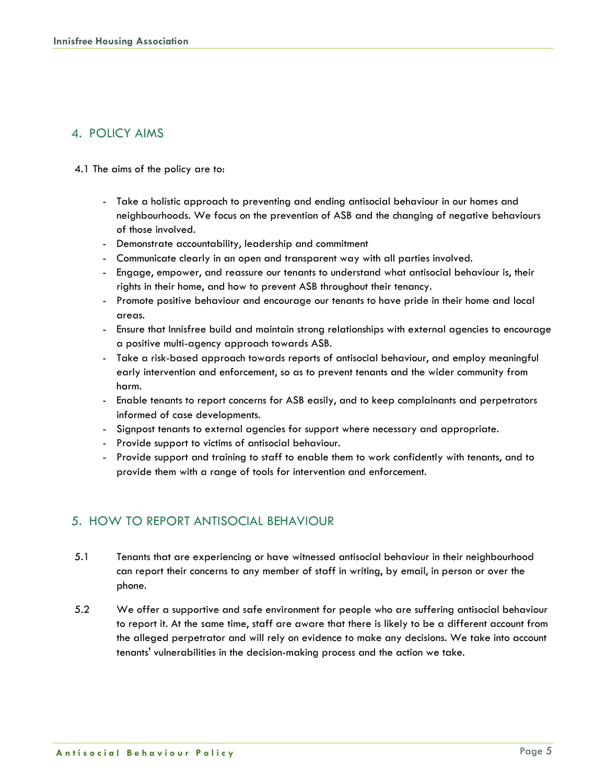#### 4. POLICY AIMS

- 4.1 The aims of the policy are to:
	- Take a holistic approach to preventing and ending antisocial behaviour in our homes and neighbourhoods. We focus on the prevention of ASB and the changing of negative behaviours of those involved.
	- Demonstrate accountability, leadership and commitment
	- Communicate clearly in an open and transparent way with all parties involved.
	- Engage, empower, and reassure our tenants to understand what antisocial behaviour is, their rights in their home, and how to prevent ASB throughout their tenancy.
	- Promote positive behaviour and encourage our tenants to have pride in their home and local areas.
	- Ensure that Innisfree build and maintain strong relationships with external agencies to encourage a positive multi-agency approach towards ASB.
	- Take a risk-based approach towards reports of antisocial behaviour, and employ meaningful early intervention and enforcement, so as to prevent tenants and the wider community from harm.
	- Enable tenants to report concerns for ASB easily, and to keep complainants and perpetrators informed of case developments.
	- Signpost tenants to external agencies for support where necessary and appropriate.
	- Provide support to victims of antisocial behaviour.
	- Provide support and training to staff to enable them to work confidently with tenants, and to provide them with a range of tools for intervention and enforcement.

#### 5. HOW TO REPORT ANTISOCIAL BEHAVIOUR

- 5.1 Tenants that are experiencing or have witnessed antisocial behaviour in their neighbourhood can report their concerns to any member of staff in writing, by email, in person or over the phone.
- 5.2 We offer a supportive and safe environment for people who are suffering antisocial behaviour to report it. At the same time, staff are aware that there is likely to be a different account from the alleged perpetrator and will rely on evidence to make any decisions. We take into account tenants' vulnerabilities in the decision-making process and the action we take.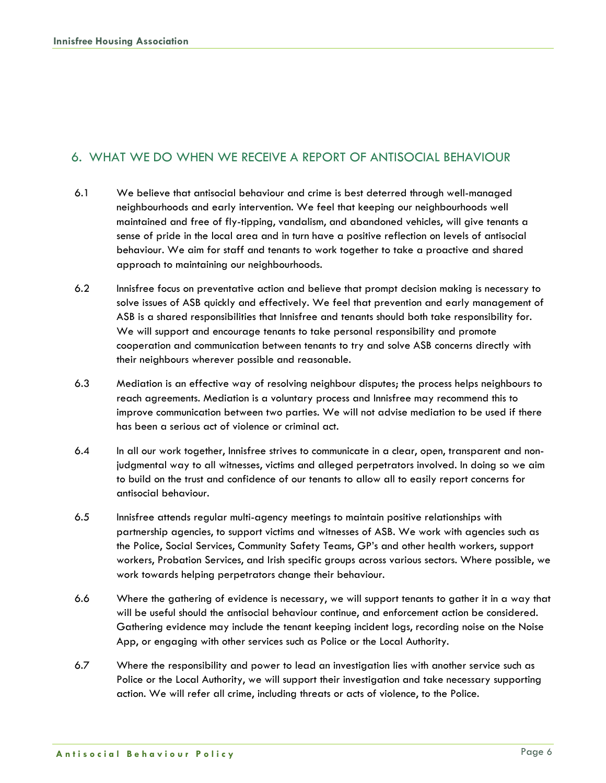#### 6. WHAT WE DO WHEN WE RECEIVE A REPORT OF ANTISOCIAL BEHAVIOUR

- 6.1 We believe that antisocial behaviour and crime is best deterred through well-managed neighbourhoods and early intervention. We feel that keeping our neighbourhoods well maintained and free of fly-tipping, vandalism, and abandoned vehicles, will give tenants a sense of pride in the local area and in turn have a positive reflection on levels of antisocial behaviour. We aim for staff and tenants to work together to take a proactive and shared approach to maintaining our neighbourhoods.
- 6.2 Innisfree focus on preventative action and believe that prompt decision making is necessary to solve issues of ASB quickly and effectively. We feel that prevention and early management of ASB is a shared responsibilities that Innisfree and tenants should both take responsibility for. We will support and encourage tenants to take personal responsibility and promote cooperation and communication between tenants to try and solve ASB concerns directly with their neighbours wherever possible and reasonable.
- 6.3 Mediation is an effective way of resolving neighbour disputes; the process helps neighbours to reach agreements. Mediation is a voluntary process and Innisfree may recommend this to improve communication between two parties. We will not advise mediation to be used if there has been a serious act of violence or criminal act.
- 6.4 In all our work together, Innisfree strives to communicate in a clear, open, transparent and nonjudgmental way to all witnesses, victims and alleged perpetrators involved. In doing so we aim to build on the trust and confidence of our tenants to allow all to easily report concerns for antisocial behaviour.
- 6.5 Innisfree attends regular multi-agency meetings to maintain positive relationships with partnership agencies, to support victims and witnesses of ASB. We work with agencies such as the Police, Social Services, Community Safety Teams, GP's and other health workers, support workers, Probation Services, and Irish specific groups across various sectors. Where possible, we work towards helping perpetrators change their behaviour.
- 6.6 Where the gathering of evidence is necessary, we will support tenants to gather it in a way that will be useful should the antisocial behaviour continue, and enforcement action be considered. Gathering evidence may include the tenant keeping incident logs, recording noise on the Noise App, or engaging with other services such as Police or the Local Authority.
- 6.7 Where the responsibility and power to lead an investigation lies with another service such as Police or the Local Authority, we will support their investigation and take necessary supporting action. We will refer all crime, including threats or acts of violence, to the Police.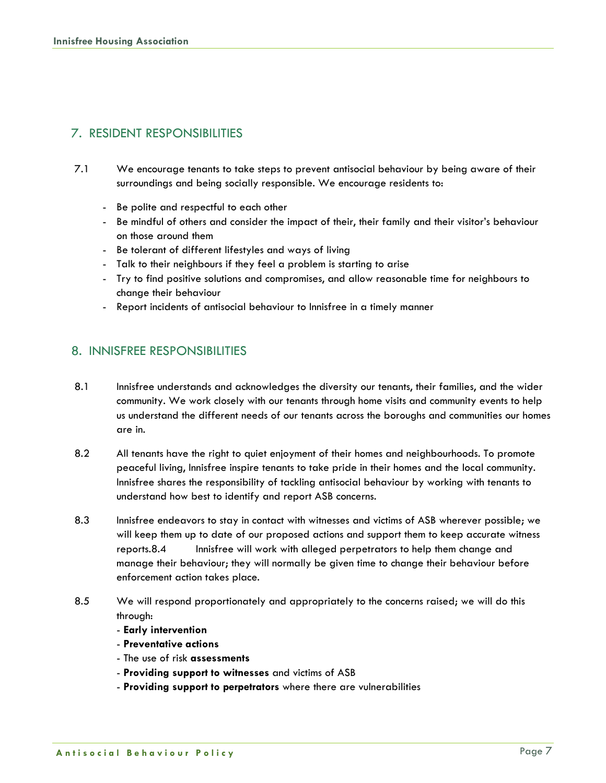#### 7. RESIDENT RESPONSIBILITIES

- 7.1 We encourage tenants to take steps to prevent antisocial behaviour by being aware of their surroundings and being socially responsible. We encourage residents to:
	- Be polite and respectful to each other
	- Be mindful of others and consider the impact of their, their family and their visitor's behaviour on those around them
	- Be tolerant of different lifestyles and ways of living
	- Talk to their neighbours if they feel a problem is starting to arise
	- Try to find positive solutions and compromises, and allow reasonable time for neighbours to change their behaviour
	- Report incidents of antisocial behaviour to Innisfree in a timely manner

#### 8. INNISFREE RESPONSIBILITIES

- 8.1 Innisfree understands and acknowledges the diversity our tenants, their families, and the wider community. We work closely with our tenants through home visits and community events to help us understand the different needs of our tenants across the boroughs and communities our homes are in.
- 8.2 All tenants have the right to quiet enjoyment of their homes and neighbourhoods. To promote peaceful living, Innisfree inspire tenants to take pride in their homes and the local community. Innisfree shares the responsibility of tackling antisocial behaviour by working with tenants to understand how best to identify and report ASB concerns.
- 8.3 Innisfree endeavors to stay in contact with witnesses and victims of ASB wherever possible; we will keep them up to date of our proposed actions and support them to keep accurate witness reports.8.4 Innisfree will work with alleged perpetrators to help them change and manage their behaviour; they will normally be given time to change their behaviour before enforcement action takes place.
- 8.5 We will respond proportionately and appropriately to the concerns raised; we will do this through:
	- **Early intervention**
	- **Preventative actions**
	- The use of risk **assessments**
	- **Providing support to witnesses** and victims of ASB
	- **Providing support to perpetrators** where there are vulnerabilities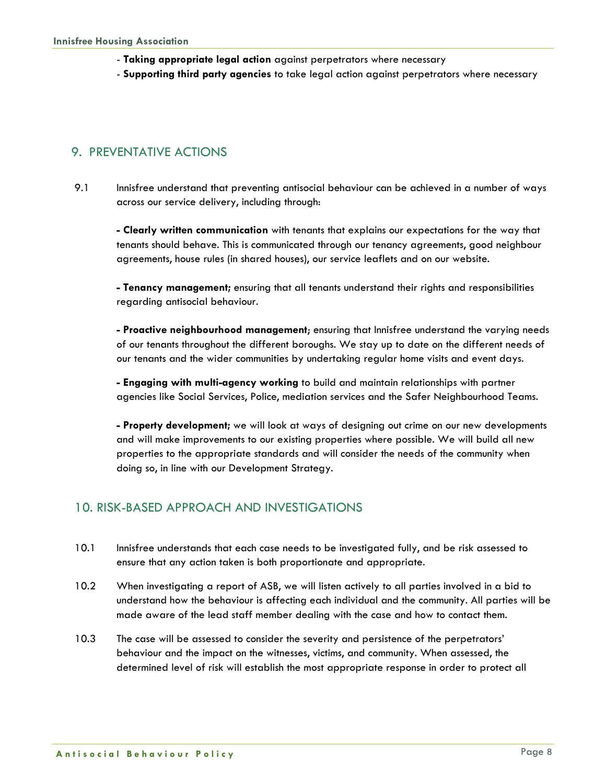- **Taking appropriate legal action** against perpetrators where necessary
- **Supporting third party agencies** to take legal action against perpetrators where necessary

#### 9. PREVENTATIVE ACTIONS

9.1 Innisfree understand that preventing antisocial behaviour can be achieved in a number of ways across our service delivery, including through:

**- Clearly written communication** with tenants that explains our expectations for the way that tenants should behave. This is communicated through our tenancy agreements, good neighbour agreements, house rules (in shared houses), our service leaflets and on our website.

**- Tenancy management;** ensuring that all tenants understand their rights and responsibilities regarding antisocial behaviour.

**- Proactive neighbourhood management**; ensuring that Innisfree understand the varying needs of our tenants throughout the different boroughs. We stay up to date on the different needs of our tenants and the wider communities by undertaking regular home visits and event days.

**- Engaging with multi-agency working** to build and maintain relationships with partner agencies like Social Services, Police, mediation services and the Safer Neighbourhood Teams.

**- Property development;** we will look at ways of designing out crime on our new developments and will make improvements to our existing properties where possible. We will build all new properties to the appropriate standards and will consider the needs of the community when doing so, in line with our Development Strategy.

#### 10. RISK-BASED APPROACH AND INVESTIGATIONS

- 10.1 Innisfree understands that each case needs to be investigated fully, and be risk assessed to ensure that any action taken is both proportionate and appropriate.
- 10.2 When investigating a report of ASB, we will listen actively to all parties involved in a bid to understand how the behaviour is affecting each individual and the community. All parties will be made aware of the lead staff member dealing with the case and how to contact them.
- 10.3 The case will be assessed to consider the severity and persistence of the perpetrators' behaviour and the impact on the witnesses, victims, and community. When assessed, the determined level of risk will establish the most appropriate response in order to protect all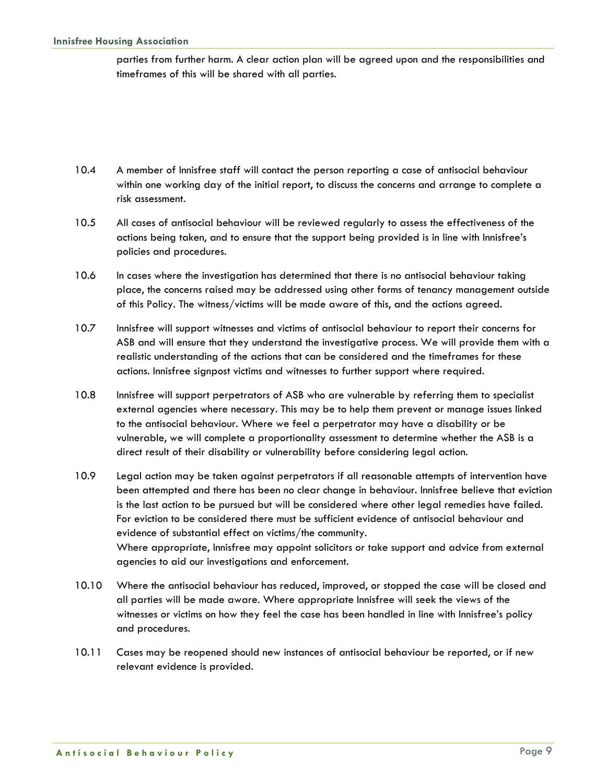parties from further harm. A clear action plan will be agreed upon and the responsibilities and timeframes of this will be shared with all parties.

- 10.4 A member of Innisfree staff will contact the person reporting a case of antisocial behaviour within one working day of the initial report, to discuss the concerns and arrange to complete a risk assessment.
- 10.5 All cases of antisocial behaviour will be reviewed regularly to assess the effectiveness of the actions being taken, and to ensure that the support being provided is in line with Innisfree's policies and procedures.
- 10.6 In cases where the investigation has determined that there is no antisocial behaviour taking place, the concerns raised may be addressed using other forms of tenancy management outside of this Policy. The witness/victims will be made aware of this, and the actions agreed.
- 10.7 Innisfree will support witnesses and victims of antisocial behaviour to report their concerns for ASB and will ensure that they understand the investigative process. We will provide them with a realistic understanding of the actions that can be considered and the timeframes for these actions. Innisfree signpost victims and witnesses to further support where required.
- 10.8 Innisfree will support perpetrators of ASB who are vulnerable by referring them to specialist external agencies where necessary. This may be to help them prevent or manage issues linked to the antisocial behaviour. Where we feel a perpetrator may have a disability or be vulnerable, we will complete a proportionality assessment to determine whether the ASB is a direct result of their disability or vulnerability before considering legal action.
- 10.9 Legal action may be taken against perpetrators if all reasonable attempts of intervention have been attempted and there has been no clear change in behaviour. Innisfree believe that eviction is the last action to be pursued but will be considered where other legal remedies have failed. For eviction to be considered there must be sufficient evidence of antisocial behaviour and evidence of substantial effect on victims/the community. Where appropriate, Innisfree may appoint solicitors or take support and advice from external agencies to aid our investigations and enforcement.
- 10.10 Where the antisocial behaviour has reduced, improved, or stopped the case will be closed and all parties will be made aware. Where appropriate Innisfree will seek the views of the witnesses or victims on how they feel the case has been handled in line with Innisfree's policy and procedures.
- 10.11 Cases may be reopened should new instances of antisocial behaviour be reported, or if new relevant evidence is provided.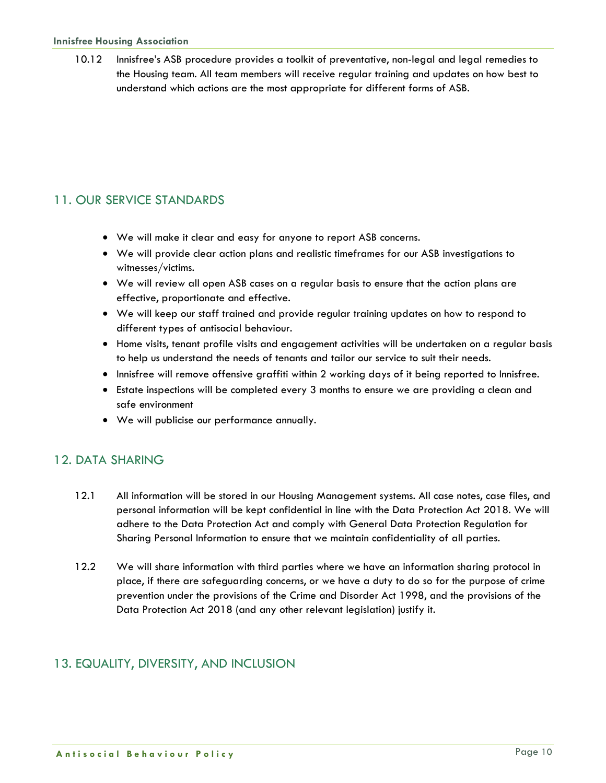10.12 Innisfree's ASB procedure provides a toolkit of preventative, non-legal and legal remedies to the Housing team. All team members will receive regular training and updates on how best to understand which actions are the most appropriate for different forms of ASB.

#### 11. OUR SERVICE STANDARDS

- We will make it clear and easy for anyone to report ASB concerns.
- We will provide clear action plans and realistic timeframes for our ASB investigations to witnesses/victims.
- We will review all open ASB cases on a regular basis to ensure that the action plans are effective, proportionate and effective.
- We will keep our staff trained and provide regular training updates on how to respond to different types of antisocial behaviour.
- Home visits, tenant profile visits and engagement activities will be undertaken on a regular basis to help us understand the needs of tenants and tailor our service to suit their needs.
- Innisfree will remove offensive graffiti within 2 working days of it being reported to Innisfree.
- Estate inspections will be completed every 3 months to ensure we are providing a clean and safe environment
- We will publicise our performance annually.

#### 12. DATA SHARING

- 12.1 All information will be stored in our Housing Management systems. All case notes, case files, and personal information will be kept confidential in line with the Data Protection Act 2018. We will adhere to the Data Protection Act and comply with General Data Protection Regulation for Sharing Personal Information to ensure that we maintain confidentiality of all parties.
- 12.2 We will share information with third parties where we have an information sharing protocol in place, if there are safeguarding concerns, or we have a duty to do so for the purpose of crime prevention under the provisions of the Crime and Disorder Act 1998, and the provisions of the Data Protection Act 2018 (and any other relevant legislation) justify it.

#### 13. EQUALITY, DIVERSITY, AND INCLUSION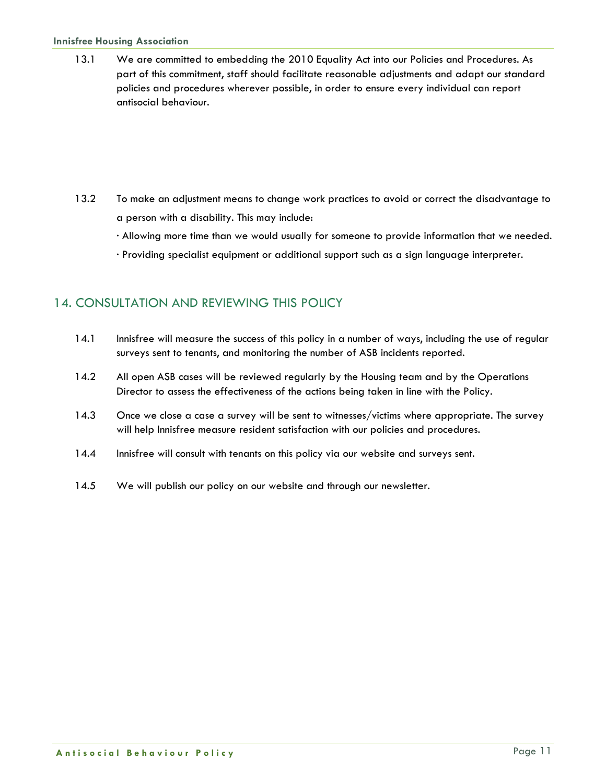#### **Innisfree Housing Association**

13.1 We are committed to embedding the 2010 Equality Act into our Policies and Procedures. As part of this commitment, staff should facilitate reasonable adjustments and adapt our standard policies and procedures wherever possible, in order to ensure every individual can report antisocial behaviour.

- 13.2 To make an adjustment means to change work practices to avoid or correct the disadvantage to a person with a disability. This may include:
	- · Allowing more time than we would usually for someone to provide information that we needed.
	- · Providing specialist equipment or additional support such as a sign language interpreter.

#### 14. CONSULTATION AND REVIEWING THIS POLICY

- 14.1 Innisfree will measure the success of this policy in a number of ways, including the use of regular surveys sent to tenants, and monitoring the number of ASB incidents reported.
- 14.2 All open ASB cases will be reviewed regularly by the Housing team and by the Operations Director to assess the effectiveness of the actions being taken in line with the Policy.
- 14.3 Once we close a case a survey will be sent to witnesses/victims where appropriate. The survey will help Innisfree measure resident satisfaction with our policies and procedures.
- 14.4 Innisfree will consult with tenants on this policy via our website and surveys sent.
- 14.5 We will publish our policy on our website and through our newsletter.